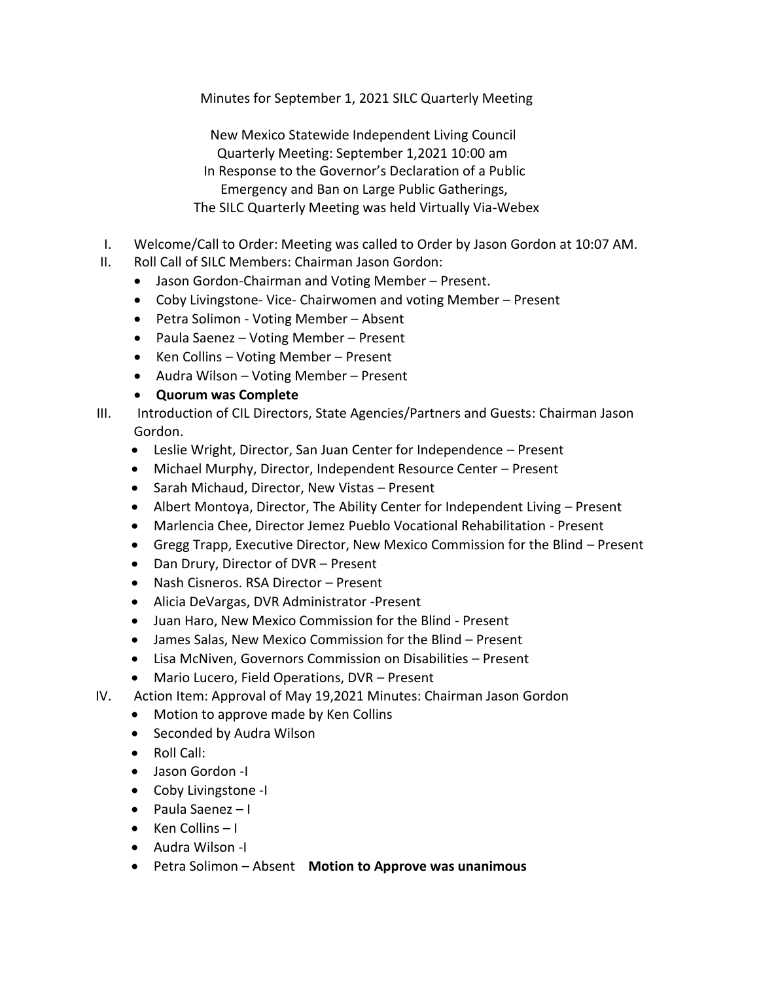Minutes for September 1, 2021 SILC Quarterly Meeting

 New Mexico Statewide Independent Living Council Quarterly Meeting: September 1,2021 10:00 am In Response to the Governor's Declaration of a Public Emergency and Ban on Large Public Gatherings, The SILC Quarterly Meeting was held Virtually Via-Webex

- I. Welcome/Call to Order: Meeting was called to Order by Jason Gordon at 10:07 AM.
- II. Roll Call of SILC Members: Chairman Jason Gordon:
	- Jason Gordon-Chairman and Voting Member Present.
	- Coby Livingstone- Vice- Chairwomen and voting Member Present
	- Petra Solimon Voting Member Absent
	- Paula Saenez Voting Member Present
	- Ken Collins Voting Member Present
	- Audra Wilson Voting Member Present

• **Quorum was Complete**

- III. Introduction of CIL Directors, State Agencies/Partners and Guests: Chairman Jason Gordon.
	- Leslie Wright, Director, San Juan Center for Independence Present
	- Michael Murphy, Director, Independent Resource Center Present
	- Sarah Michaud, Director, New Vistas Present
	- Albert Montoya, Director, The Ability Center for Independent Living Present
	- Marlencia Chee, Director Jemez Pueblo Vocational Rehabilitation Present
	- Gregg Trapp, Executive Director, New Mexico Commission for the Blind Present
	- Dan Drury, Director of DVR Present
	- Nash Cisneros. RSA Director Present
	- Alicia DeVargas, DVR Administrator -Present
	- Juan Haro, New Mexico Commission for the Blind Present
	- James Salas, New Mexico Commission for the Blind Present
	- Lisa McNiven, Governors Commission on Disabilities Present
	- Mario Lucero, Field Operations, DVR Present
- IV. Action Item: Approval of May 19,2021 Minutes: Chairman Jason Gordon
	- Motion to approve made by Ken Collins
	- Seconded by Audra Wilson
	- Roll Call:
	- Jason Gordon -I
	- Coby Livingstone -I
	- Paula Saenez I
	- Ken Collins I
	- Audra Wilson -I
	- Petra Solimon Absent **Motion to Approve was unanimous**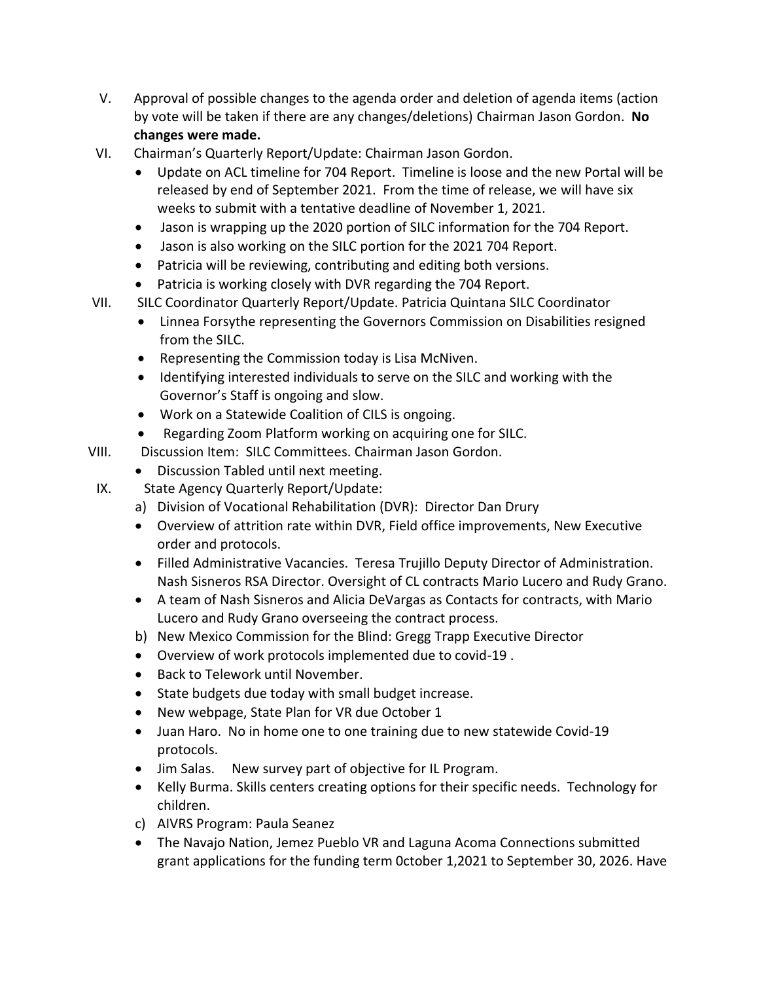- V. Approval of possible changes to the agenda order and deletion of agenda items (action by vote will be taken if there are any changes/deletions) Chairman Jason Gordon. **No changes were made.**
- VI. Chairman's Quarterly Report/Update: Chairman Jason Gordon.
	- Update on ACL timeline for 704 Report. Timeline is loose and the new Portal will be released by end of September 2021. From the time of release, we will have six weeks to submit with a tentative deadline of November 1, 2021.
	- Jason is wrapping up the 2020 portion of SILC information for the 704 Report.
	- Jason is also working on the SILC portion for the 2021 704 Report.
	- Patricia will be reviewing, contributing and editing both versions.
	- Patricia is working closely with DVR regarding the 704 Report.
- VII. SILC Coordinator Quarterly Report/Update. Patricia Quintana SILC Coordinator
	- Linnea Forsythe representing the Governors Commission on Disabilities resigned from the SILC.
	- Representing the Commission today is Lisa McNiven.
	- Identifying interested individuals to serve on the SILC and working with the Governor's Staff is ongoing and slow.
	- Work on a Statewide Coalition of CILS is ongoing.
	- Regarding Zoom Platform working on acquiring one for SILC.
- VIII. Discussion Item: SILC Committees. Chairman Jason Gordon.
	- Discussion Tabled until next meeting.

IX. State Agency Quarterly Report/Update:

- a) Division of Vocational Rehabilitation (DVR): Director Dan Drury
- Overview of attrition rate within DVR, Field office improvements, New Executive order and protocols.
- Filled Administrative Vacancies. Teresa Trujillo Deputy Director of Administration. Nash Sisneros RSA Director. Oversight of CL contracts Mario Lucero and Rudy Grano.
- A team of Nash Sisneros and Alicia DeVargas as Contacts for contracts, with Mario Lucero and Rudy Grano overseeing the contract process.
- b) New Mexico Commission for the Blind: Gregg Trapp Executive Director
- Overview of work protocols implemented due to covid-19 .
- Back to Telework until November.
- State budgets due today with small budget increase.
- New webpage, State Plan for VR due October 1
- Juan Haro. No in home one to one training due to new statewide Covid-19 protocols.
- Jim Salas. New survey part of objective for IL Program.
- Kelly Burma. Skills centers creating options for their specific needs. Technology for children.
- c) AIVRS Program: Paula Seanez
- The Navajo Nation, Jemez Pueblo VR and Laguna Acoma Connections submitted grant applications for the funding term 0ctober 1,2021 to September 30, 2026. Have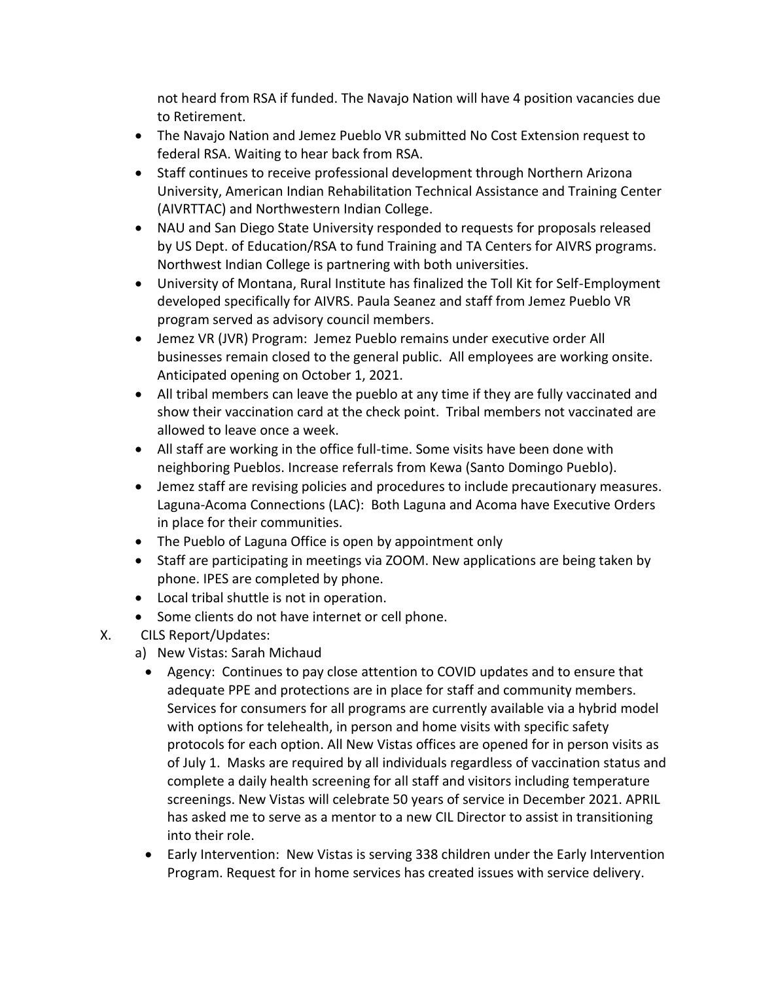not heard from RSA if funded. The Navajo Nation will have 4 position vacancies due to Retirement.

- The Navajo Nation and Jemez Pueblo VR submitted No Cost Extension request to federal RSA. Waiting to hear back from RSA.
- Staff continues to receive professional development through Northern Arizona University, American Indian Rehabilitation Technical Assistance and Training Center (AIVRTTAC) and Northwestern Indian College.
- NAU and San Diego State University responded to requests for proposals released by US Dept. of Education/RSA to fund Training and TA Centers for AIVRS programs. Northwest Indian College is partnering with both universities.
- University of Montana, Rural Institute has finalized the Toll Kit for Self-Employment developed specifically for AIVRS. Paula Seanez and staff from Jemez Pueblo VR program served as advisory council members.
- Jemez VR (JVR) Program: Jemez Pueblo remains under executive order All businesses remain closed to the general public. All employees are working onsite. Anticipated opening on October 1, 2021.
- All tribal members can leave the pueblo at any time if they are fully vaccinated and show their vaccination card at the check point. Tribal members not vaccinated are allowed to leave once a week.
- All staff are working in the office full-time. Some visits have been done with neighboring Pueblos. Increase referrals from Kewa (Santo Domingo Pueblo).
- Jemez staff are revising policies and procedures to include precautionary measures. Laguna-Acoma Connections (LAC): Both Laguna and Acoma have Executive Orders in place for their communities.
- The Pueblo of Laguna Office is open by appointment only
- Staff are participating in meetings via ZOOM. New applications are being taken by phone. IPES are completed by phone.
- Local tribal shuttle is not in operation.
- Some clients do not have internet or cell phone.
- X. CILS Report/Updates:
	- a) New Vistas: Sarah Michaud
		- Agency: Continues to pay close attention to COVID updates and to ensure that adequate PPE and protections are in place for staff and community members. Services for consumers for all programs are currently available via a hybrid model with options for telehealth, in person and home visits with specific safety protocols for each option. All New Vistas offices are opened for in person visits as of July 1. Masks are required by all individuals regardless of vaccination status and complete a daily health screening for all staff and visitors including temperature screenings. New Vistas will celebrate 50 years of service in December 2021. APRIL has asked me to serve as a mentor to a new CIL Director to assist in transitioning into their role.
		- Early Intervention: New Vistas is serving 338 children under the Early Intervention Program. Request for in home services has created issues with service delivery.